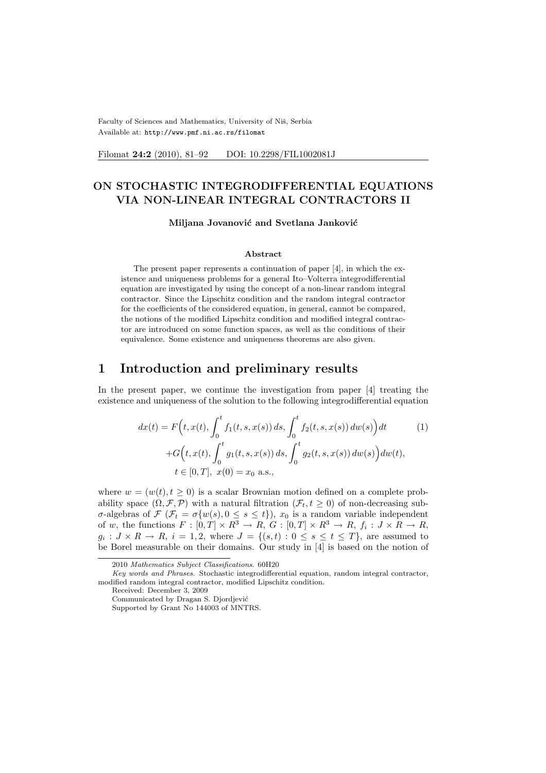Faculty of Sciences and Mathematics, University of Niš, Serbia Available at: http://www.pmf.ni.ac.rs/filomat

Filomat 24:2 (2010), 81-92 DOI: 10.2298/FIL1002081J

# ON STOCHASTIC INTEGRODIFFERENTIAL EQUATIONS VIA NON-LINEAR INTEGRAL CONTRACTORS II

#### Miljana Jovanović and Svetlana Janković

### Abstract

The present paper represents a continuation of paper [4], in which the existence and uniqueness problems for a general Ito–Volterra integrodifferential equation are investigated by using the concept of a non-linear random integral contractor. Since the Lipschitz condition and the random integral contractor for the coefficients of the considered equation, in general, cannot be compared, the notions of the modified Lipschitz condition and modified integral contractor are introduced on some function spaces, as well as the conditions of their equivalence. Some existence and uniqueness theorems are also given.

## 1 Introduction and preliminary results

In the present paper, we continue the investigation from paper [4] treating the existence and uniqueness of the solution to the following integrodifferential equation

$$
dx(t) = F\left(t, x(t), \int_0^t f_1(t, s, x(s)) ds, \int_0^t f_2(t, s, x(s)) dw(s)\right) dt
$$
  
+
$$
G\left(t, x(t), \int_0^t g_1(t, s, x(s)) ds, \int_0^t g_2(t, s, x(s)) dw(s)\right) dw(t),
$$
  

$$
t \in [0, T], x(0) = x_0 \text{ a.s.},
$$
 (1)

where  $w = (w(t), t \ge 0)$  is a scalar Brownian motion defined on a complete probability space  $(\Omega, \mathcal{F}, \mathcal{P})$  with a natural filtration  $(\mathcal{F}_t, t \geq 0)$  of non-decreasing subσ-algebras of  $\mathcal{F}(\mathcal{F}_t = \sigma\{w(s), 0 \leq s \leq t\}), x_0$  is a random variable independent of w, the functions  $F: [0,T] \times \mathbb{R}^3 \to \mathbb{R}, G: [0,T] \times \mathbb{R}^3 \to \mathbb{R}, f_i: J \times \mathbb{R} \to \mathbb{R},$  $g_i: J \times R \to R$ ,  $i = 1, 2$ , where  $J = \{(s, t) : 0 \le s \le t \le T\}$ , are assumed to be Borel measurable on their domains. Our study in [4] is based on the notion of

<sup>2010</sup> Mathematics Subject Classifications. 60H20

Key words and Phrases. Stochastic integrodifferential equation, random integral contractor, modified random integral contractor, modified Lipschitz condition.

Received: December 3, 2009

Communicated by Dragan S. Djordjević

Supported by Grant No 144003 of MNTRS.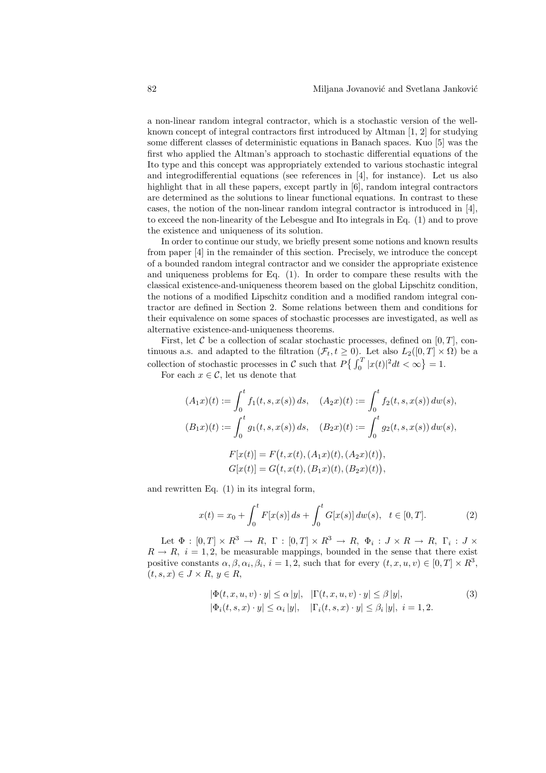a non-linear random integral contractor, which is a stochastic version of the wellknown concept of integral contractors first introduced by Altman [1, 2] for studying some different classes of deterministic equations in Banach spaces. Kuo [5] was the first who applied the Altman's approach to stochastic differential equations of the Ito type and this concept was appropriately extended to various stochastic integral and integrodifferential equations (see references in [4], for instance). Let us also highlight that in all these papers, except partly in [6], random integral contractors are determined as the solutions to linear functional equations. In contrast to these cases, the notion of the non-linear random integral contractor is introduced in [4], to exceed the non-linearity of the Lebesgue and Ito integrals in Eq. (1) and to prove the existence and uniqueness of its solution.

In order to continue our study, we briefly present some notions and known results from paper [4] in the remainder of this section. Precisely, we introduce the concept of a bounded random integral contractor and we consider the appropriate existence and uniqueness problems for Eq. (1). In order to compare these results with the classical existence-and-uniqueness theorem based on the global Lipschitz condition, the notions of a modified Lipschitz condition and a modified random integral contractor are defined in Section 2. Some relations between them and conditions for their equivalence on some spaces of stochastic processes are investigated, as well as alternative existence-and-uniqueness theorems.

First, let C be a collection of scalar stochastic processes, defined on  $[0, T]$ , continuous a.s. and adapted to the filtration  $(\mathcal{F}_t, t \geq 0)$ . Let also  $L_2([0, T] \times \Omega)$  be a collection of stochastic processes in C such that  $P\left\{\int_{0}^{T}$  $\int_{0}^{T} |x(t)|^2 dt < \infty$  $= 1.$ 

For each  $x \in \mathcal{C}$ , let us denote that

$$
(A_1x)(t) := \int_0^t f_1(t, s, x(s)) ds, \quad (A_2x)(t) := \int_0^t f_2(t, s, x(s)) dw(s),
$$
  
\n
$$
(B_1x)(t) := \int_0^t g_1(t, s, x(s)) ds, \quad (B_2x)(t) := \int_0^t g_2(t, s, x(s)) dw(s),
$$
  
\n
$$
F[x(t)] = F(t, x(t), (A_1x)(t), (A_2x)(t)),
$$
  
\n
$$
G[x(t)] = G(t, x(t), (B_1x)(t), (B_2x)(t)),
$$

and rewritten Eq. (1) in its integral form,

$$
x(t) = x_0 + \int_0^t F[x(s)] ds + \int_0^t G[x(s)] dw(s), \quad t \in [0, T].
$$
 (2)

Let  $\Phi : [0, T] \times R^3 \to R$ ,  $\Gamma : [0, T] \times R^3 \to R$ ,  $\Phi_i : J \times R \to R$ ,  $\Gamma_i : J \times R$  $R \rightarrow R$ ,  $i = 1, 2$ , be measurable mappings, bounded in the sense that there exist positive constants  $\alpha, \beta, \alpha_i, \beta_i$ ,  $i = 1, 2$ , such that for every  $(t, x, u, v) \in [0, T] \times \mathbb{R}^3$ ,  $(t, s, x) \in J \times R, y \in R$ 

$$
|\Phi(t, x, u, v) \cdot y| \le \alpha |y|, \quad |\Gamma(t, x, u, v) \cdot y| \le \beta |y|,
$$
  

$$
|\Phi_i(t, s, x) \cdot y| \le \alpha_i |y|, \quad |\Gamma_i(t, s, x) \cdot y| \le \beta_i |y|, \quad i = 1, 2.
$$
 (3)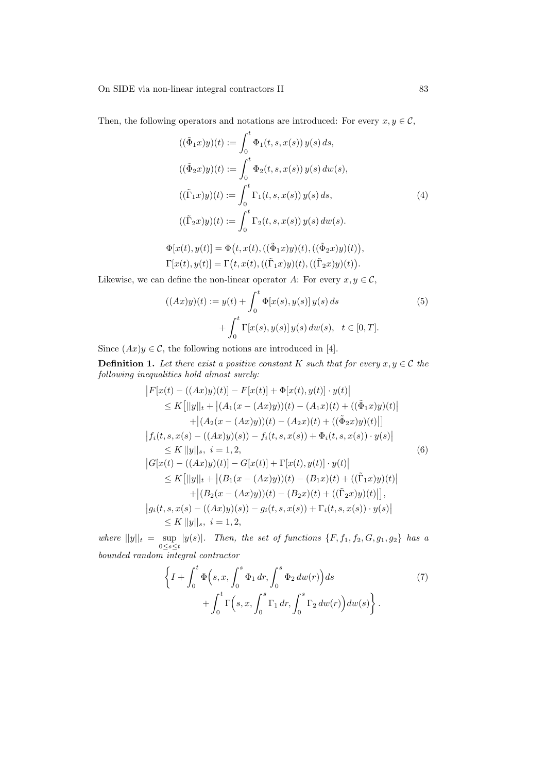On SIDE via non-linear integral contractors II 83

Then, the following operators and notations are introduced: For every  $x, y \in \mathcal{C}$ ,

$$
((\tilde{\Phi}_1 x)y)(t) := \int_0^t \Phi_1(t, s, x(s)) y(s) ds,((\tilde{\Phi}_2 x)y)(t) := \int_0^t \Phi_2(t, s, x(s)) y(s) dw(s),((\tilde{\Gamma}_1 x)y)(t) := \int_0^t \Gamma_1(t, s, x(s)) y(s) ds,((\tilde{\Gamma}_2 x)y)(t) := \int_0^t \Gamma_2(t, s, x(s)) y(s) dw(s).
$$
\n
$$
\Phi[x(t), y(t)] = \Phi(t, x(t), ((\tilde{\Phi}_1 x)y)(t), ((\tilde{\Phi}_2 x)y)(t)),
$$

$$
\Phi[x(t), y(t)] = \Phi(t, x(t), ((\tilde{\Phi}_1 x)y)(t), ((\tilde{\Phi}_2 x)y)(t)),
$$
  
\n
$$
\Gamma[x(t), y(t)] = \Gamma(t, x(t), ((\tilde{\Gamma}_1 x)y)(t), ((\tilde{\Gamma}_2 x)y)(t)).
$$

Likewise, we can define the non-linear operator A: For every  $x, y \in \mathcal{C}$ ,

$$
((Ax)y)(t) := y(t) + \int_0^t \Phi[x(s), y(s)] y(s) ds
$$
  
+ 
$$
\int_0^t \Gamma[x(s), y(s)] y(s) dw(s), t \in [0, T].
$$
 (5)

Since  $(Ax)y \in \mathcal{C}$ , the following notions are introduced in [4].

**Definition 1.** Let there exist a positive constant K such that for every  $x, y \in \mathcal{C}$  the following inequalities hold almost surely:  $\overline{a}$  $\overline{a}$ 

$$
|F[x(t) - ((Ax)y)(t)] - F[x(t)] + \Phi[x(t), y(t)] \cdot y(t)|
$$
  
\n
$$
\leq K[||y||_t + |(A_1(x - (Ax)y))(t) - (A_1x)(t) + ((\tilde{\Phi}_1x)y)(t)|
$$
  
\n
$$
+ |(A_2(x - (Ax)y))(t) - (A_2x)(t) + ((\tilde{\Phi}_2x)y)(t)|]
$$
  
\n
$$
|f_i(t, s, x(s) - ((Ax)y)(s)) - f_i(t, s, x(s)) + \Phi_i(t, s, x(s)) \cdot y(s)|
$$
  
\n
$$
\leq K||y||_s, i = 1, 2,
$$
  
\n
$$
|G[x(t) - ((Ax)y)(t)] - G[x(t)] + \Gamma[x(t), y(t)] \cdot y(t)|
$$
  
\n
$$
\leq K[||y||_t + |(B_1(x - (Ax)y))(t) - (B_1x)(t) + ((\tilde{\Gamma}_1x)y)(t)|
$$
  
\n
$$
+ |(B_2(x - (Ax)y))(t) - (B_2x)(t) + ((\tilde{\Gamma}_2x)y)(t)|],
$$
  
\n
$$
|g_i(t, s, x(s) - ((Ax)y)(s)) - g_i(t, s, x(s)) + \Gamma_i(t, s, x(s)) \cdot y(s)|
$$
  
\n
$$
\leq K||y||_s, i = 1, 2,
$$

where  $||y||_t = \sup_{0 \le s \le t} |y(s)|$ . Then, the set of functions  $\{F, f_1, f_2, G, g_1, g_2\}$  has a bounded random integral contractor

$$
\left\{ I + \int_0^t \Phi(s, x, \int_0^s \Phi_1 dr, \int_0^s \Phi_2 dw(r) ds + \int_0^t \Gamma(s, x, \int_0^s \Gamma_1 dr, \int_0^s \Gamma_2 dw(r) dw(s) \right\}.
$$
\n(7)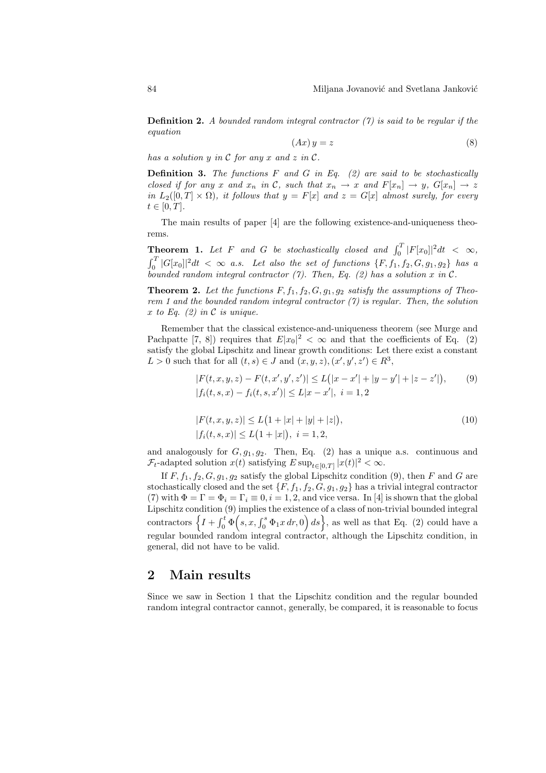**Definition 2.** A bounded random integral contractor  $(7)$  is said to be regular if the equation

$$
(Ax)y = z \tag{8}
$$

has a solution  $y$  in  $\mathcal C$  for any  $x$  and  $z$  in  $\mathcal C$ .

**Definition 3.** The functions  $F$  and  $G$  in Eq. (2) are said to be stochastically closed if for any x and  $x_n$  in C, such that  $x_n \to x$  and  $F[x_n] \to y$ ,  $G[x_n] \to z$ in  $L_2([0,T] \times \Omega)$ , it follows that  $y = F[x]$  and  $z = G[x]$  almost surely, for every  $t \in [0, T].$ 

The main results of paper [4] are the following existence-and-uniqueness theorems.

**Theorem 1.** Let F and G be stochastically closed and  $\int_0^T |F[x_0]|^2 dt < \infty$ ,  $\frac{1}{r}$  $\int_0^T |G[x_0]|^2 dt < \infty$  a.s. Let also the set of functions  $\{F, f_1, f_2, G, g_1, g_2\}$  has a bounded random integral contractor (7). Then, Eq. (2) has a solution x in  $\mathcal{C}$ .

**Theorem 2.** Let the functions  $F, f_1, f_2, G, g_1, g_2$  satisfy the assumptions of Theorem 1 and the bounded random integral contractor  $(7)$  is regular. Then, the solution x to Eq.  $(2)$  in C is unique.

Remember that the classical existence-and-uniqueness theorem (see Murge and Pachpatte [7, 8]) requires that  $E|x_0|^2 < \infty$  and that the coefficients of Eq. (2) satisfy the global Lipschitz and linear growth conditions: Let there exist a constant  $L > 0$  such that for all  $(t, s) \in J$  and  $(x, y, z), (x', y', z') \in R^3$ ,

$$
|F(t, x, y, z) - F(t, x', y', z')| \le L(|x - x'| + |y - y'| + |z - z'|),
$$
(9)  
|f<sub>i</sub>(t, s, x) - f<sub>i</sub>(t, s, x')| \le L|x - x'|, i = 1, 2

$$
|F(t, x, y, z)| \le L\left(1 + |x| + |y| + |z|\right),
$$
  
\n
$$
|f_i(t, s, x)| \le L\left(1 + |x|\right), \quad i = 1, 2,
$$
\n(10)

and analogously for  $G, g_1, g_2$ . Then, Eq. (2) has a unique a.s. continuous and  $\mathcal{F}_t$ -adapted solution  $x(t)$  satisfying  $E \sup_{t \in [0,T]} |x(t)|^2 < \infty$ .

If  $F, f_1, f_2, G, g_1, g_2$  satisfy the global Lipschitz condition (9), then F and G are stochastically closed and the set  $\{F, f_1, f_2, G, g_1, g_2\}$  has a trivial integral contractor (7) with  $\Phi = \Gamma = \Phi_i = \Gamma_i \equiv 0, i = 1, 2$ , and vice versa. In [4] is shown that the global Lipschitz condition  $(9)$  implies the existence of a class of non-trivial bounded integral Lipschitz condition  $\begin{pmatrix} \mathbf{0} & \mathbf{0} \\ \mathbf{0} & \mathbf{0} \end{pmatrix}$  (9) implies the existence of a class of non-trivial bounded integral  $\begin{pmatrix} \mathbf{0} & \mathbf{0} \\ \mathbf{0} & \mathbf{0} \end{pmatrix}$  (s, x,  $\begin{pmatrix} \mathbf{0} & \mathbf{0} \\ \mathbf{0} & \mathbf{0} \end{pmatrix}$  as well as that Eq. regular bounded random integral contractor, although the Lipschitz condition, in general, did not have to be valid.

### 2 Main results

Since we saw in Section 1 that the Lipschitz condition and the regular bounded random integral contractor cannot, generally, be compared, it is reasonable to focus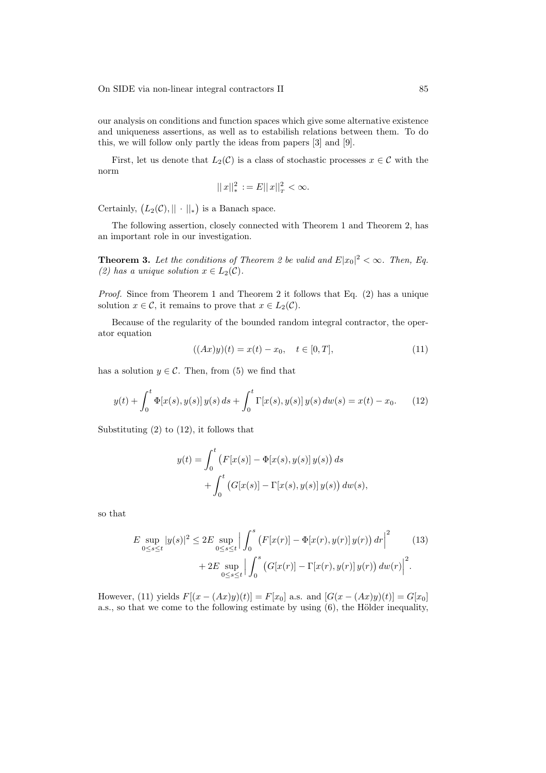our analysis on conditions and function spaces which give some alternative existence and uniqueness assertions, as well as to estabilish relations between them. To do this, we will follow only partly the ideas from papers [3] and [9].

First, let us denote that  $L_2(\mathcal{C})$  is a class of stochastic processes  $x \in \mathcal{C}$  with the norm

$$
||x||_*^2 := E||x||_T^2 < \infty.
$$

Certainly,  $(L_2(\mathcal{C}), || \cdot ||_*$ ¢ is a Banach space.

The following assertion, closely connected with Theorem 1 and Theorem 2, has an important role in our investigation.

**Theorem 3.** Let the conditions of Theorem 2 be valid and  $E|x_0|^2 < \infty$ . Then, Eq. (2) has a unique solution  $x \in L_2(\mathcal{C})$ .

Proof. Since from Theorem 1 and Theorem 2 it follows that Eq. (2) has a unique solution  $x \in \mathcal{C}$ , it remains to prove that  $x \in L_2(\mathcal{C})$ .

Because of the regularity of the bounded random integral contractor, the operator equation

$$
((Ax)y)(t) = x(t) - x_0, \quad t \in [0, T], \tag{11}
$$

has a solution  $y \in \mathcal{C}$ . Then, from (5) we find that

$$
y(t) + \int_0^t \Phi[x(s), y(s)] y(s) ds + \int_0^t \Gamma[x(s), y(s)] y(s) dw(s) = x(t) - x_0.
$$
 (12)

Substituting (2) to (12), it follows that

$$
y(t) = \int_0^t (F[x(s)] - \Phi[x(s), y(s)] y(s)) ds
$$
  
+ 
$$
\int_0^t (G[x(s)] - \Gamma[x(s), y(s)] y(s)) dw(s),
$$

so that

$$
E \sup_{0 \le s \le t} |y(s)|^2 \le 2E \sup_{0 \le s \le t} \Big| \int_0^s \left( F[x(r)] - \Phi[x(r), y(r)] y(r) \right) dr \Big|^2 \qquad (13)
$$
  
+ 2E \sup\_{0 \le s \le t} \Big| \int\_0^s \left( G[x(r)] - \Gamma[x(r), y(r)] y(r) \right) dw(r) \Big|^2.

However, (11) yields  $F[(x - (Ax)y)(t)] = F[x_0]$  a.s. and  $[G(x - (Ax)y)(t)] = G[x_0]$ a.s., so that we come to the following estimate by using  $(6)$ , the Hölder inequality,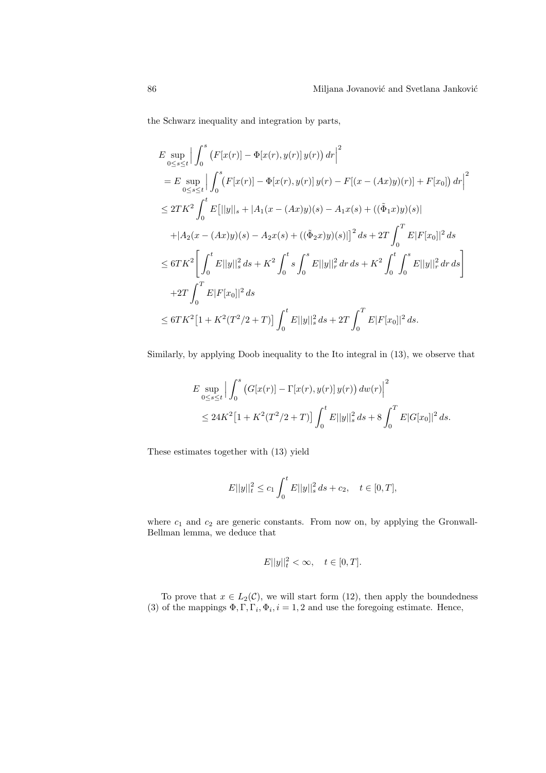the Schwarz inequality and integration by parts,

$$
E \sup_{0 \le s \le t} \Big| \int_0^s (F[x(r)] - \Phi[x(r), y(r)] y(r)) dr \Big|^2
$$
  
\n
$$
= E \sup_{0 \le s \le t} \Big| \int_0^s (F[x(r)] - \Phi[x(r), y(r)] y(r) - F[(x - (Ax)y)(r)] + F[x_0]) dr \Big|^2
$$
  
\n
$$
\le 2TK^2 \int_0^t E[||y||_s + |A_1(x - (Ax)y)(s) - A_1x(s) + ((\tilde{\Phi}_1 x)y)(s)|
$$
  
\n
$$
+ |A_2(x - (Ax)y)(s) - A_2x(s) + ((\tilde{\Phi}_2 x)y)(s)|]^2 ds + 2T \int_0^T E|F[x_0]|^2 ds
$$
  
\n
$$
\le 6TK^2 \Big[ \int_0^t E||y||_s^2 ds + K^2 \int_0^t s \int_0^s E||y||_r^2 dr ds + K^2 \int_0^t \int_0^s E||y||_r^2 dr ds \Big]
$$
  
\n
$$
+ 2T \int_0^T E|F[x_0]|^2 ds
$$
  
\n
$$
\le 6TK^2 [1 + K^2(T^2/2 + T)] \int_0^t E||y||_s^2 ds + 2T \int_0^T E|F[x_0]|^2 ds.
$$

Similarly, by applying Doob inequality to the Ito integral in (13), we observe that

$$
E \sup_{0 \le s \le t} \left| \int_0^s \left( G[x(r)] - \Gamma[x(r), y(r)] y(r) \right) dw(r) \right|^2
$$
  
 
$$
\le 24K^2 \left[ 1 + K^2 (T^2/2 + T) \right] \int_0^t E||y||_s^2 ds + 8 \int_0^T E|G[x_0]|^2 ds.
$$

These estimates together with (13) yield

$$
E||y||t2 \le c_1 \int_0^t E||y||s2 ds + c_2, \quad t \in [0, T],
$$

where  $c_1$  and  $c_2$  are generic constants. From now on, by applying the Gronwall-Bellman lemma, we deduce that

$$
E||y||_t^2 < \infty, \quad t \in [0, T].
$$

To prove that  $x \in L_2(\mathcal{C})$ , we will start form (12), then apply the boundedness (3) of the mappings  $\Phi, \Gamma, \Gamma_i, \Phi_i, i = 1, 2$  and use the foregoing estimate. Hence,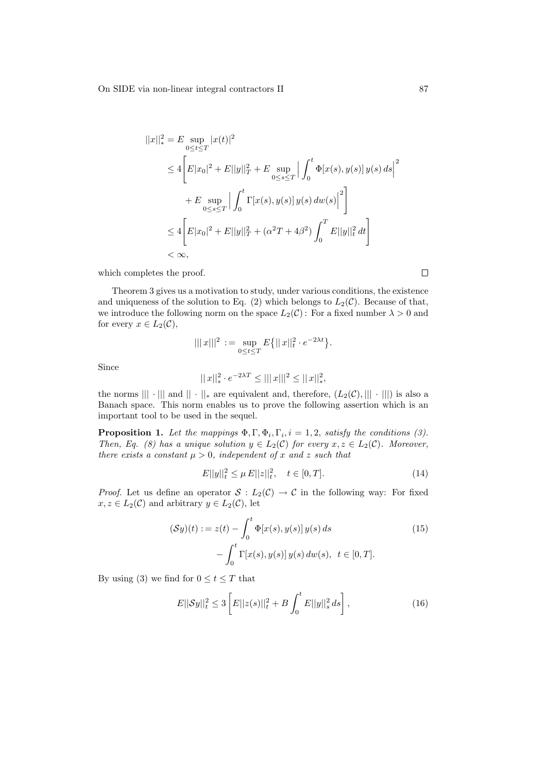$$
||x||_*^2 = E \sup_{0 \le t \le T} |x(t)|^2
$$
  
\n
$$
\le 4 \left[ E|x_0|^2 + E||y||_T^2 + E \sup_{0 \le s \le T} \left| \int_0^t \Phi[x(s), y(s)] y(s) ds \right|^2 \right]
$$
  
\n
$$
+ E \sup_{0 \le s \le T} \left| \int_0^t \Gamma[x(s), y(s)] y(s) dw(s) \right|^2 \right]
$$
  
\n
$$
\le 4 \left[ E|x_0|^2 + E||y||_T^2 + (\alpha^2 T + 4\beta^2) \int_0^T E||y||_t^2 dt \right]
$$
  
\n
$$
< \infty,
$$

which completes the proof.

Theorem 3 gives us a motivation to study, under various conditions, the existence and uniqueness of the solution to Eq. (2) which belongs to  $L_2(\mathcal{C})$ . Because of that, we introduce the following norm on the space  $L_2(\mathcal{C})$ : For a fixed number  $\lambda > 0$  and for every  $x \in L_2(\mathcal{C}),$ 

$$
|||x|||^2 := \sup_{0 \le t \le T} E\{||x||_t^2 \cdot e^{-2\lambda t}\}.
$$

Since

$$
||x||_*^2 \cdot e^{-2\lambda T} \leq |||x|||^2 \leq ||x||_*^2,
$$

the norms  $|||\cdot|||$  and  $||\cdot||_*$  are equivalent and, therefore,  $(L_2(\mathcal{C}), |||\cdot|||)$  is also a Banach space. This norm enables us to prove the following assertion which is an important tool to be used in the sequel.

**Proposition 1.** Let the mappings  $\Phi$ ,  $\Gamma$ ,  $\Phi$ <sub>i</sub>,  $\Gamma$ <sub>i</sub>,  $i = 1, 2$ , satisfy the conditions (3). Then, Eq. (8) has a unique solution  $y \in L_2(\mathcal{C})$  for every  $x, z \in L_2(\mathcal{C})$ . Moreover, there exists a constant  $\mu > 0$ , independent of x and z such that

$$
E||y||t2 \le \mu E||z||t2, \quad t \in [0, T].
$$
\n(14)

*Proof.* Let us define an operator  $S: L_2(\mathcal{C}) \to \mathcal{C}$  in the following way: For fixed  $x, z \in L_2(\mathcal{C})$  and arbitrary  $y \in L_2(\mathcal{C})$ , let

$$
(\mathcal{S}y)(t) := z(t) - \int_0^t \Phi[x(s), y(s)] y(s) ds
$$
  
- 
$$
\int_0^t \Gamma[x(s), y(s)] y(s) dw(s), t \in [0, T].
$$
 (15)

By using (3) we find for  $0 \le t \le T$  that

$$
E||Sy||_{t}^{2} \leq 3\left[E||z(s)||_{t}^{2} + B\int_{0}^{t} E||y||_{s}^{2} ds\right],
$$
\n(16)

 $\Box$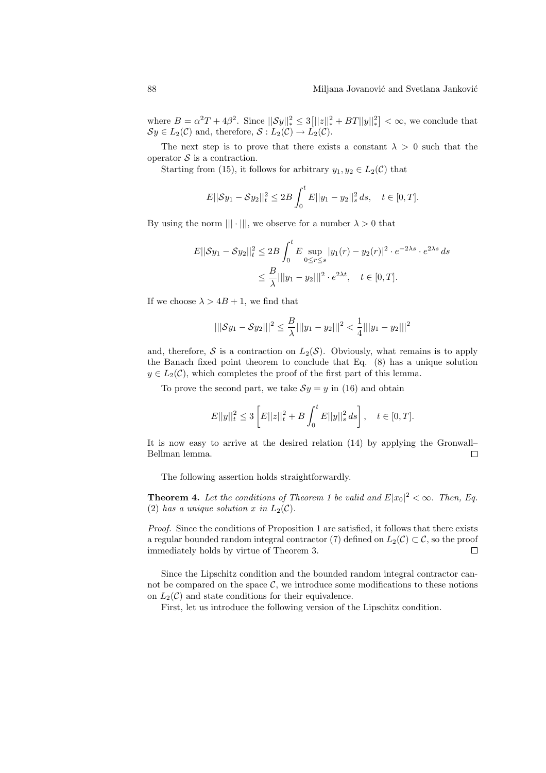where  $B = \alpha^2 T + 4\beta^2$ . Since  $||\mathcal{S}y||_*^2 \leq 3$  $[||z||_*^2 + BT||y||_*^2$ l<br>E  $< \infty$ , we conclude that  $\mathcal{S}y \in L_2(\mathcal{C})$  and, therefore,  $\mathcal{S}: L_2(\mathcal{C}) \to \tilde{L_2}(\mathcal{C})$ .

The next step is to prove that there exists a constant  $\lambda > 0$  such that the operator  $S$  is a contraction.

Starting from (15), it follows for arbitrary  $y_1, y_2 \in L_2(\mathcal{C})$  that

$$
E||Sy_1 - Sy_2||_t^2 \le 2B \int_0^t E||y_1 - y_2||_s^2 ds, \quad t \in [0, T].
$$

By using the norm  $|||\cdot|||$ , we observe for a number  $\lambda > 0$  that

$$
E||\mathcal{S}y_1 - \mathcal{S}y_2||_t^2 \le 2B \int_0^t E \sup_{0 \le r \le s} |y_1(r) - y_2(r)|^2 \cdot e^{-2\lambda s} \cdot e^{2\lambda s} ds
$$
  

$$
\le \frac{B}{\lambda} ||y_1 - y_2||^2 \cdot e^{2\lambda t}, \quad t \in [0, T].
$$

If we choose  $\lambda > 4B + 1$ , we find that

$$
|||Sy_1 - Sy_2|||^2 \le \frac{B}{\lambda} |||y_1 - y_2|||^2 < \frac{1}{4} |||y_1 - y_2|||^2
$$

and, therefore,  $S$  is a contraction on  $L_2(S)$ . Obviously, what remains is to apply the Banach fixed point theorem to conclude that Eq. (8) has a unique solution  $y \in L_2(\mathcal{C})$ , which completes the proof of the first part of this lemma.

To prove the second part, we take  $Sy = y$  in (16) and obtain

$$
E||y||_{t}^{2} \leq 3\left[E||z||_{t}^{2} + B\int_{0}^{t} E||y||_{s}^{2} ds\right], \quad t \in [0, T].
$$

It is now easy to arrive at the desired relation (14) by applying the Gronwall– Bellman lemma.  $\Box$ 

The following assertion holds straightforwardly.

**Theorem 4.** Let the conditions of Theorem 1 be valid and  $E|x_0|^2 < \infty$ . Then, Eq. (2) has a unique solution x in  $L_2(\mathcal{C})$ .

Proof. Since the conditions of Proposition 1 are satisfied, it follows that there exists a regular bounded random integral contractor (7) defined on  $L_2(\mathcal{C}) \subset \mathcal{C}$ , so the proof immediately holds by virtue of Theorem 3.  $\Box$ 

Since the Lipschitz condition and the bounded random integral contractor cannot be compared on the space  $\mathcal{C}$ , we introduce some modifications to these notions on  $L_2(\mathcal{C})$  and state conditions for their equivalence.

First, let us introduce the following version of the Lipschitz condition.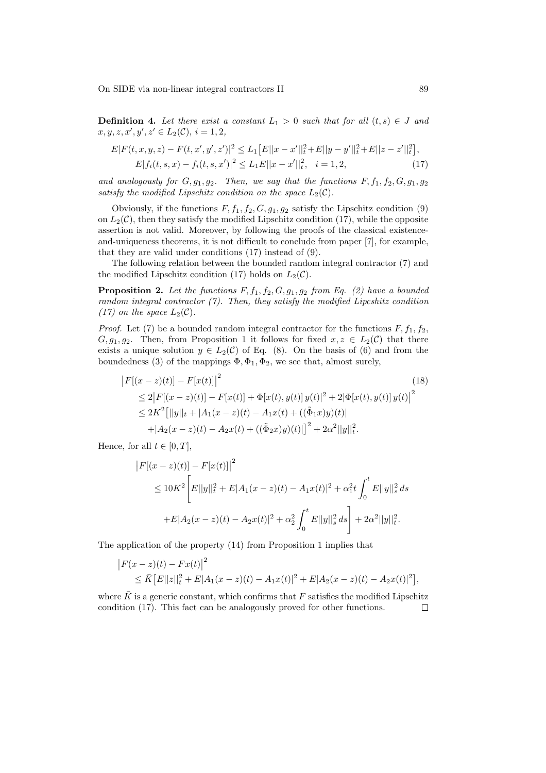On SIDE via non-linear integral contractors II 89

**Definition 4.** Let there exist a constant  $L_1 > 0$  such that for all  $(t, s) \in J$  and  $x, y, z, x', y', z' \in L_2(\mathcal{C}), i = 1, 2,$ 

$$
E|F(t, x, y, z) - F(t, x', y', z')|^2 \le L_1 [E||x - x'||_t^2 + E||y - y'||_t^2 + E||z - z'||_t^2],
$$
  
\n
$$
E|f_i(t, s, x) - f_i(t, s, x')|^2 \le L_1 E||x - x'||_t^2, \quad i = 1, 2,
$$
\n(17)

and analogously for  $G, g_1, g_2$ . Then, we say that the functions  $F, f_1, f_2, G, g_1, g_2$ satisfy the modified Lipschitz condition on the space  $L_2(\mathcal{C})$ .

Obviously, if the functions  $F, f_1, f_2, G, g_1, g_2$  satisfy the Lipschitz condition (9) on  $L_2(\mathcal{C})$ , then they satisfy the modified Lipschitz condition (17), while the opposite assertion is not valid. Moreover, by following the proofs of the classical existenceand-uniqueness theorems, it is not difficult to conclude from paper [7], for example, that they are valid under conditions (17) instead of (9).

The following relation between the bounded random integral contractor (7) and the modified Lipschitz condition (17) holds on  $L_2(\mathcal{C})$ .

**Proposition 2.** Let the functions  $F, f_1, f_2, G, g_1, g_2$  from Eq. (2) have a bounded random integral contractor  $(7)$ . Then, they satisfy the modified Lipcshitz condition (17) on the space  $L_2(\mathcal{C})$ .

*Proof.* Let (7) be a bounded random integral contractor for the functions  $F, f_1, f_2$ ,  $G, g_1, g_2$ . Then, from Proposition 1 it follows for fixed  $x, z \in L_2(\mathcal{C})$  that there exists a unique solution  $y \in L_2(\mathcal{C})$  of Eq. (8). On the basis of (6) and from the boundedness (3) of the mappings  $\Phi$ ,  $\Phi_1$ ,  $\Phi_2$ , we see that, almost surely,

$$
|F[(x-z)(t)] - F[x(t)]|^2
$$
\n
$$
\leq 2|F[(x-z)(t)] - F[x(t)] + \Phi[x(t), y(t)]y(t)|^2 + 2|\Phi[x(t), y(t)]y(t)|^2
$$
\n
$$
\leq 2K^2 [||y||_t + |A_1(x-z)(t) - A_1x(t) + ((\tilde{\Phi}_1 x)y)(t)|
$$
\n
$$
+ |A_2(x-z)(t) - A_2x(t) + ((\tilde{\Phi}_2 x)y)(t)|]^2 + 2\alpha^2 ||y||_t^2.
$$
\n(18)

Hence, for all  $t \in [0, T]$ ,

$$
\begin{aligned} \left| F[(x-z)(t)] - F[x(t)] \right|^2 \\ &\le 10K^2 \Bigg[ E||y||_t^2 + E|A_1(x-z)(t) - A_1x(t)|^2 + \alpha_1^2 t \int_0^t E||y||_s^2 \, ds \\ &+ E|A_2(x-z)(t) - A_2x(t)|^2 + \alpha_2^2 \int_0^t E||y||_s^2 \, ds \Bigg] + 2\alpha^2 ||y||_t^2. \end{aligned}
$$

The application of the property (14) from Proposition 1 implies that

$$
\begin{aligned} \left| F(x-z)(t) - Fx(t) \right|^2 &\leq \bar{K} \left[ E||z||_t^2 + E|A_1(x-z)(t) - A_1x(t)|^2 + E|A_2(x-z)(t) - A_2x(t)|^2 \right], \end{aligned}
$$

where  $\bar{K}$  is a generic constant, which confirms that F satisfies the modified Lipschitz condition (17). This fact can be analogously proved for other functions. $\Box$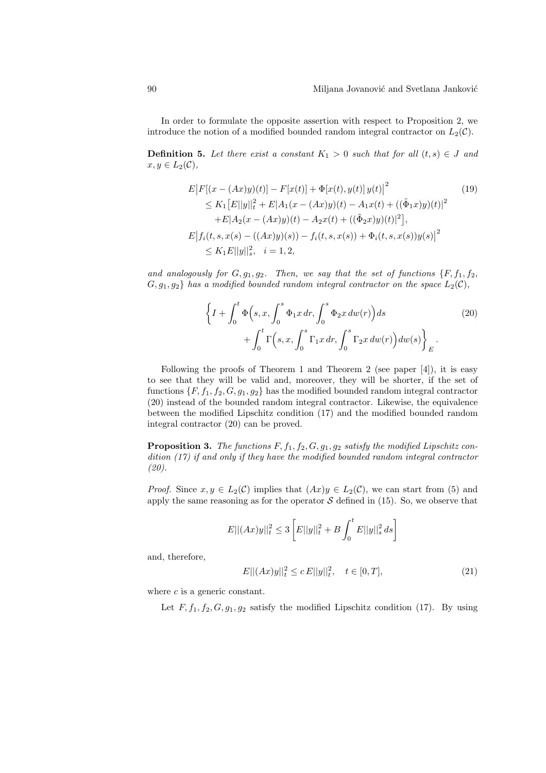In order to formulate the opposite assertion with respect to Proposition 2, we introduce the notion of a modified bounded random integral contractor on  $L_2(\mathcal{C})$ .

**Definition 5.** Let there exist a constant  $K_1 > 0$  such that for all  $(t, s) \in J$  and  $x, y \in L_2(\mathcal{C}),$ 

$$
E|F[(x - (Ax)y)(t)] - F[x(t)] + \Phi[x(t), y(t)]y(t)]^{2}
$$
\n
$$
\leq K_{1}[E||y||_{t}^{2} + E|A_{1}(x - (Ax)y)(t) - A_{1}x(t) + ((\tilde{\Phi}_{1}x)y)(t)|^{2}
$$
\n
$$
+ E|A_{2}(x - (Ax)y)(t) - A_{2}x(t) + ((\tilde{\Phi}_{2}x)y)(t)|^{2}],
$$
\n
$$
E|f_{i}(t, s, x(s) - ((Ax)y)(s)) - f_{i}(t, s, x(s)) + \Phi_{i}(t, s, x(s))y(s)|^{2}
$$
\n
$$
\leq K_{1}E||y||_{s}^{2}, \quad i = 1, 2,
$$
\n(11)

and analogously for  $G, g_1, g_2$ . Then, we say that the set of functions  $\{F, f_1, f_2,$  $G, g_1, g_2$  has a modified bounded random integral contractor on the space  $L_2(\mathcal{C}),$ 

$$
\left\{I + \int_0^t \Phi\Big(s, x, \int_0^s \Phi_1 x \, dr, \int_0^s \Phi_2 x \, dw(r)\Big) ds \right. \tag{20}
$$
\n
$$
+ \int_0^t \Gamma\Big(s, x, \int_0^s \Gamma_1 x \, dr, \int_0^s \Gamma_2 x \, dw(r)\Big) dw(s) \right\}_E.
$$

Following the proofs of Theorem 1 and Theorem 2 (see paper [4]), it is easy to see that they will be valid and, moreover, they will be shorter, if the set of functions  $\{F, f_1, f_2, G, g_1, g_2\}$  has the modified bounded random integral contractor (20) instead of the bounded random integral contractor. Likewise, the equivalence between the modified Lipschitz condition (17) and the modified bounded random integral contractor (20) can be proved.

**Proposition 3.** The functions  $F$ ,  $f_1$ ,  $f_2$ ,  $G$ ,  $g_1$ ,  $g_2$  satisfy the modified Lipschitz condition (17) if and only if they have the modified bounded random integral contractor (20).

*Proof.* Since  $x, y \in L_2(\mathcal{C})$  implies that  $(Ax)y \in L_2(\mathcal{C})$ , we can start from (5) and apply the same reasoning as for the operator  $S$  defined in (15). So, we observe that

$$
E||(Ax)y||_{t}^{2} \leq 3\left[E||y||_{t}^{2} + B\int_{0}^{t} E||y||_{s}^{2} ds\right]
$$

and, therefore,

$$
E||(Ax)y||_t^2 \le c E||y||_t^2, \quad t \in [0, T], \tag{21}
$$

where  $c$  is a generic constant.

Let  $F, f_1, f_2, G, g_1, g_2$  satisfy the modified Lipschitz condition (17). By using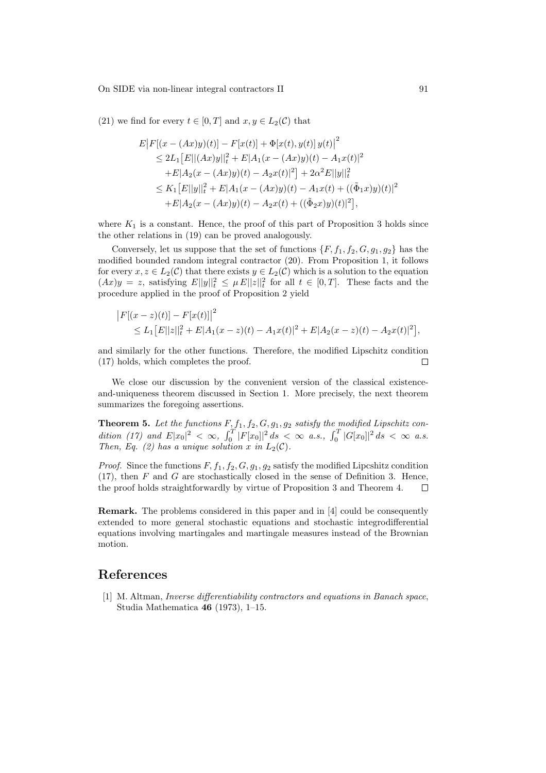On SIDE via non-linear integral contractors II 91

(21) we find for every  $t \in [0, T]$  and  $x, y \in L_2(\mathcal{C})$  that

$$
E|F[(x - (Ax)y)(t)] - F[x(t)] + \Phi[x(t), y(t)]y(t)]^2
$$
  
\n
$$
\leq 2L_1 [E||(Ax)y||_t^2 + E|A_1(x - (Ax)y)(t) - A_1x(t)|^2
$$
  
\n
$$
+ E|A_2(x - (Ax)y)(t) - A_2x(t)|^2] + 2\alpha^2 E||y||_t^2
$$
  
\n
$$
\leq K_1 [E||y||_t^2 + E|A_1(x - (Ax)y)(t) - A_1x(t) + ((\tilde{\Phi}_1x)y)(t)|^2
$$
  
\n
$$
+ E|A_2(x - (Ax)y)(t) - A_2x(t) + ((\tilde{\Phi}_2x)y)(t)|^2],
$$

where  $K_1$  is a constant. Hence, the proof of this part of Proposition 3 holds since the other relations in (19) can be proved analogously.

Conversely, let us suppose that the set of functions  $\{F, f_1, f_2, G, g_1, g_2\}$  has the modified bounded random integral contractor (20). From Proposition 1, it follows for every  $x, z \in L_2(\mathcal{C})$  that there exists  $y \in L_2(\mathcal{C})$  which is a solution to the equation  $(Ax)y = z$ , satisfying  $E||y||_t^2 \leq \mu E||z||_t^2$  for all  $t \in [0,T]$ . These facts and the procedure applied in the proof of Proposition 2 yield

$$
\begin{aligned} \left| F[(x-z)(t)] - F[x(t)] \right|^2 &= \sum_{i=1}^n E||z||_t^2 + E|A_1(x-z)(t) - A_1x(t)|^2 + E|A_2(x-z)(t) - A_2x(t)|^2], \end{aligned}
$$

and similarly for the other functions. Therefore, the modified Lipschitz condition (17) holds, which completes the proof.  $\Box$ 

We close our discussion by the convenient version of the classical existenceand-uniqueness theorem discussed in Section 1. More precisely, the next theorem summarizes the foregoing assertions.

**Theorem 5.** Let the functions  $F, f_1, f_2, G, g_1, g_2$  satisfy the modified Lipschitz con-**Theorem 5.** Let the functions  $\Gamma$ ,<br>dition (17) and  $E|x_0|^2 < \infty$ ,  $\int_0^T$  $\int_{0}^{T} |F[x_0]|^2 ds < \infty$  a.s.,  $\int_{0}^{T} |G[x_0]|^2 ds < \infty$  a.s. Then, Eq. (2) has a unique solution x in  $L_2(\mathcal{C})$ .

*Proof.* Since the functions  $F, f_1, f_2, G, g_1, g_2$  satisfy the modified Lipcshitz condition  $(17)$ , then F and G are stochastically closed in the sense of Definition 3. Hence, the proof holds straightforwardly by virtue of Proposition 3 and Theorem 4.  $\Box$ 

Remark. The problems considered in this paper and in [4] could be consequently extended to more general stochastic equations and stochastic integrodifferential equations involving martingales and martingale measures instead of the Brownian motion.

# References

[1] M. Altman, Inverse differentiability contractors and equations in Banach space, Studia Mathematica 46 (1973), 1–15.